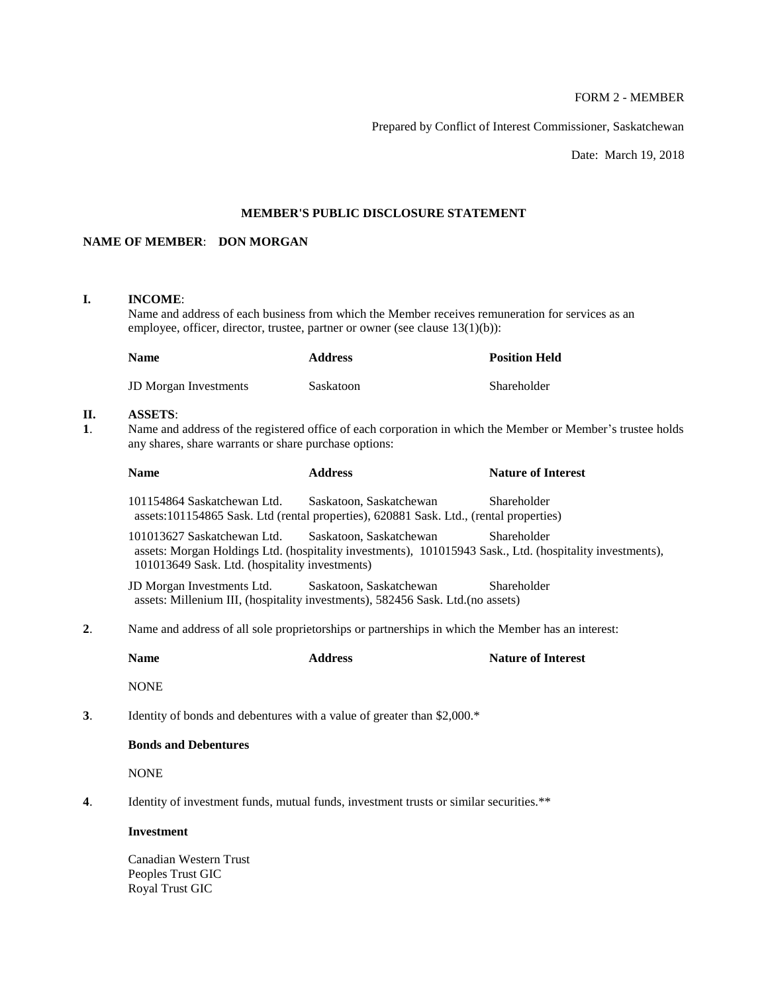# FORM 2 - MEMBER

Prepared by Conflict of Interest Commissioner, Saskatchewan

Date: March 19, 2018

# **MEMBER'S PUBLIC DISCLOSURE STATEMENT**

# **NAME OF MEMBER**: **DON MORGAN**

### **I. INCOME**:

Name and address of each business from which the Member receives remuneration for services as an employee, officer, director, trustee, partner or owner (see clause 13(1)(b)):

| <b>Name</b>                  | <b>Address</b> | <b>Position Held</b> |
|------------------------------|----------------|----------------------|
| <b>JD</b> Morgan Investments | Saskatoon      | Shareholder          |

# **II. ASSETS**:

**1**. Name and address of the registered office of each corporation in which the Member or Member's trustee holds any shares, share warrants or share purchase options:

| <b>Name</b>                                                                                       | <b>Address</b>          | <b>Nature of Interest</b>                                                                                                                                                                                                                                                                                                                                                                                                                        |
|---------------------------------------------------------------------------------------------------|-------------------------|--------------------------------------------------------------------------------------------------------------------------------------------------------------------------------------------------------------------------------------------------------------------------------------------------------------------------------------------------------------------------------------------------------------------------------------------------|
| 101154864 Saskatchewan Ltd.                                                                       | Saskatoon, Saskatchewan | Shareholder                                                                                                                                                                                                                                                                                                                                                                                                                                      |
| 101013627 Saskatchewan Ltd.                                                                       | Saskatoon, Saskatchewan | Shareholder                                                                                                                                                                                                                                                                                                                                                                                                                                      |
|                                                                                                   | Saskatoon, Saskatchewan | Shareholder                                                                                                                                                                                                                                                                                                                                                                                                                                      |
| Name and address of all sole proprietorships or partnerships in which the Member has an interest: |                         |                                                                                                                                                                                                                                                                                                                                                                                                                                                  |
| <b>Name</b>                                                                                       | <b>Address</b>          | <b>Nature of Interest</b>                                                                                                                                                                                                                                                                                                                                                                                                                        |
| <b>NONE</b>                                                                                       |                         |                                                                                                                                                                                                                                                                                                                                                                                                                                                  |
|                                                                                                   |                         |                                                                                                                                                                                                                                                                                                                                                                                                                                                  |
| <b>Bonds and Debentures</b>                                                                       |                         |                                                                                                                                                                                                                                                                                                                                                                                                                                                  |
|                                                                                                   |                         |                                                                                                                                                                                                                                                                                                                                                                                                                                                  |
| <b>NONE</b>                                                                                       |                         |                                                                                                                                                                                                                                                                                                                                                                                                                                                  |
|                                                                                                   |                         | assets:101154865 Sask. Ltd (rental properties), 620881 Sask. Ltd., (rental properties)<br>assets: Morgan Holdings Ltd. (hospitality investments), 101015943 Sask., Ltd. (hospitality investments),<br>101013649 Sask. Ltd. (hospitality investments)<br>JD Morgan Investments Ltd.<br>assets: Millenium III, (hospitality investments), 582456 Sask. Ltd. (no assets)<br>Identity of bonds and debentures with a value of greater than \$2,000.* |

#### **Investment**

Canadian Western Trust Peoples Trust GIC Royal Trust GIC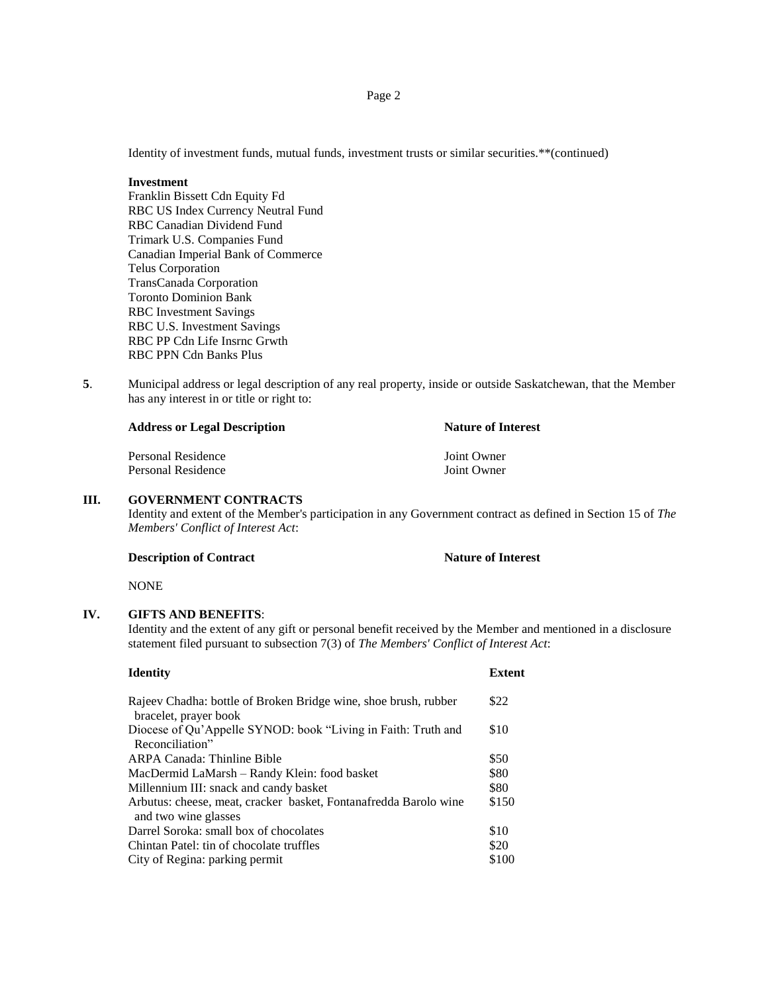Identity of investment funds, mutual funds, investment trusts or similar securities.\*\*(continued)

#### **Investment**

Franklin Bissett Cdn Equity Fd RBC US Index Currency Neutral Fund RBC Canadian Dividend Fund Trimark U.S. Companies Fund Canadian Imperial Bank of Commerce Telus Corporation TransCanada Corporation Toronto Dominion Bank RBC Investment Savings RBC U.S. Investment Savings RBC PP Cdn Life Insrnc Grwth RBC PPN Cdn Banks Plus

**5**. Municipal address or legal description of any real property, inside or outside Saskatchewan, that the Member has any interest in or title or right to:

| <b>Address or Legal Description</b> | <b>Nature of Interest</b> |
|-------------------------------------|---------------------------|
| Personal Residence                  | Joint Owner               |
| Personal Residence                  | Joint Owner               |

#### **III. GOVERNMENT CONTRACTS**

Identity and extent of the Member's participation in any Government contract as defined in Section 15 of *The Members' Conflict of Interest Act*:

**Description of Contract Nature of Interest** 

NONE

# **IV. GIFTS AND BENEFITS**:

Identity and the extent of any gift or personal benefit received by the Member and mentioned in a disclosure statement filed pursuant to subsection 7(3) of *The Members' Conflict of Interest Act*:

| <b>Identity</b>                                                                          | <b>Extent</b> |
|------------------------------------------------------------------------------------------|---------------|
| Rajeev Chadha: bottle of Broken Bridge wine, shoe brush, rubber<br>bracelet, prayer book | \$22          |
| Diocese of Qu'Appelle SYNOD: book "Living in Faith: Truth and<br>Reconciliation"         | \$10          |
| <b>ARPA Canada: Thinline Bible</b>                                                       | \$50          |
| MacDermid LaMarsh – Randy Klein: food basket                                             | \$80          |
| Millennium III: snack and candy basket                                                   | \$80          |
| Arbutus: cheese, meat, cracker basket, Fontanafredda Barolo wine<br>and two wine glasses | \$150         |
| Darrel Soroka: small box of chocolates                                                   | \$10          |
| Chintan Patel: tin of chocolate truffles                                                 | \$20          |
| City of Regina: parking permit                                                           | \$100         |
|                                                                                          |               |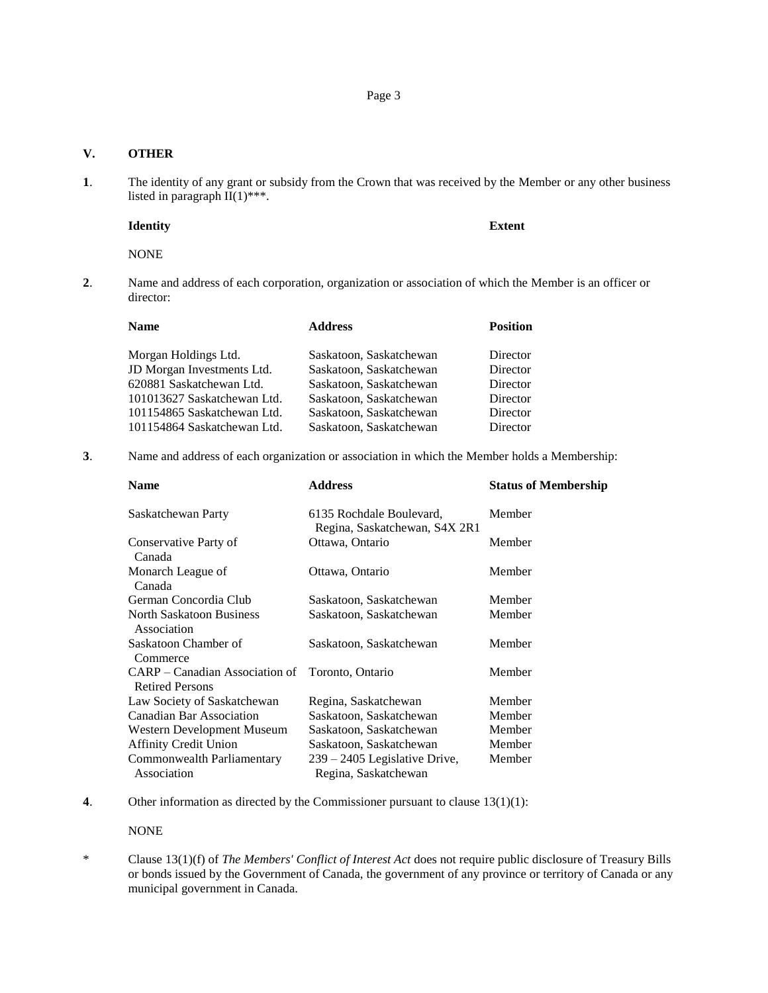# **V. OTHER**

**1**. The identity of any grant or subsidy from the Crown that was received by the Member or any other business listed in paragraph  $II(1)$ \*\*\*.

#### **Identity Extent**

# NONE

**2**. Name and address of each corporation, organization or association of which the Member is an officer or director:

| <b>Name</b>                 | <b>Address</b>          | <b>Position</b> |
|-----------------------------|-------------------------|-----------------|
| Morgan Holdings Ltd.        | Saskatoon, Saskatchewan | Director        |
| JD Morgan Investments Ltd.  | Saskatoon, Saskatchewan | Director        |
| 620881 Saskatchewan Ltd.    | Saskatoon, Saskatchewan | Director        |
| 101013627 Saskatchewan Ltd. | Saskatoon, Saskatchewan | Director        |
| 101154865 Saskatchewan Ltd. | Saskatoon, Saskatchewan | Director        |
| 101154864 Saskatchewan Ltd. | Saskatoon, Saskatchewan | Director        |

**3**. Name and address of each organization or association in which the Member holds a Membership:

| Name                                                     | <b>Address</b>                                            | <b>Status of Membership</b> |
|----------------------------------------------------------|-----------------------------------------------------------|-----------------------------|
| Saskatchewan Party                                       | 6135 Rochdale Boulevard,<br>Regina, Saskatchewan, S4X 2R1 | Member                      |
| Conservative Party of<br>Canada                          | Ottawa, Ontario                                           | Member                      |
| Monarch League of<br>Canada                              | Ottawa, Ontario                                           | Member                      |
| German Concordia Club                                    | Saskatoon, Saskatchewan                                   | Member                      |
| <b>North Saskatoon Business</b><br>Association           | Saskatoon, Saskatchewan                                   | Member                      |
| Saskatoon Chamber of<br>Commerce                         | Saskatoon, Saskatchewan                                   | Member                      |
| CARP – Canadian Association of<br><b>Retired Persons</b> | Toronto, Ontario                                          | Member                      |
| Law Society of Saskatchewan                              | Regina, Saskatchewan                                      | Member                      |
| Canadian Bar Association                                 | Saskatoon, Saskatchewan                                   | Member                      |
| Western Development Museum                               | Saskatoon, Saskatchewan                                   | Member                      |
| <b>Affinity Credit Union</b>                             | Saskatoon, Saskatchewan                                   | Member                      |
| Commonwealth Parliamentary                               | 239 – 2405 Legislative Drive,                             | Member                      |
| Association                                              | Regina, Saskatchewan                                      |                             |

**4**. Other information as directed by the Commissioner pursuant to clause 13(1)(1):

NONE

<sup>\*</sup> Clause 13(1)(f) of *The Members' Conflict of Interest Act* does not require public disclosure of Treasury Bills or bonds issued by the Government of Canada, the government of any province or territory of Canada or any municipal government in Canada.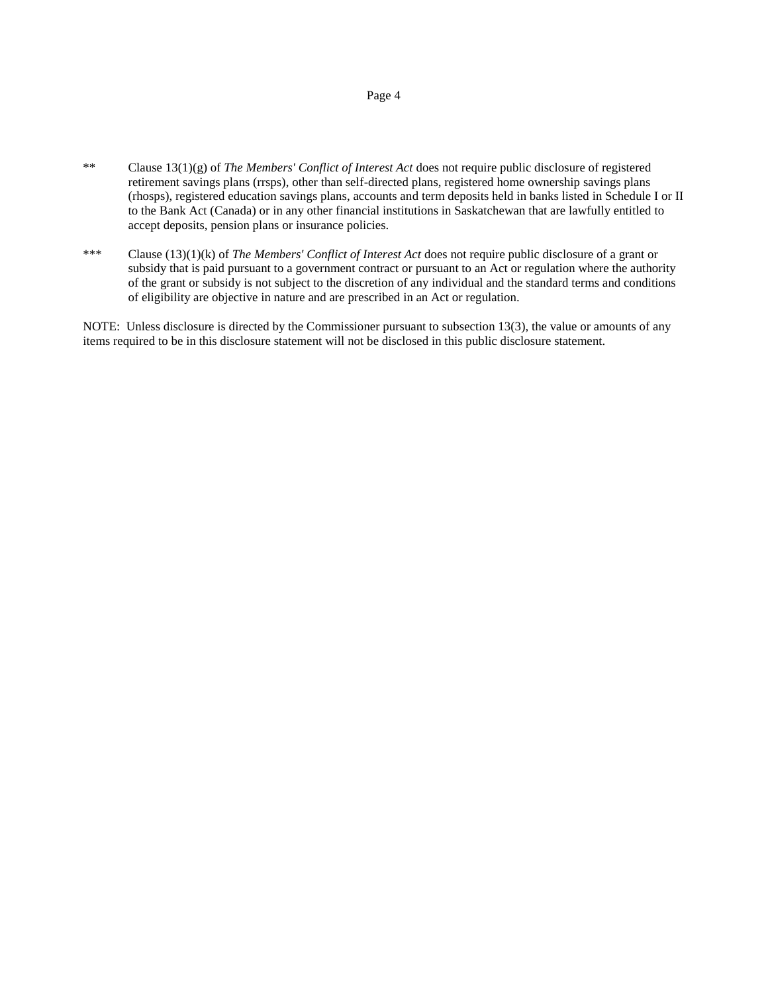# Page 4

- \*\* Clause 13(1)(g) of *The Members' Conflict of Interest Act* does not require public disclosure of registered retirement savings plans (rrsps), other than self-directed plans, registered home ownership savings plans (rhosps), registered education savings plans, accounts and term deposits held in banks listed in Schedule I or II to the Bank Act (Canada) or in any other financial institutions in Saskatchewan that are lawfully entitled to accept deposits, pension plans or insurance policies.
- \*\*\* Clause (13)(1)(k) of *The Members' Conflict of Interest Act* does not require public disclosure of a grant or subsidy that is paid pursuant to a government contract or pursuant to an Act or regulation where the authority of the grant or subsidy is not subject to the discretion of any individual and the standard terms and conditions of eligibility are objective in nature and are prescribed in an Act or regulation.

NOTE: Unless disclosure is directed by the Commissioner pursuant to subsection 13(3), the value or amounts of any items required to be in this disclosure statement will not be disclosed in this public disclosure statement.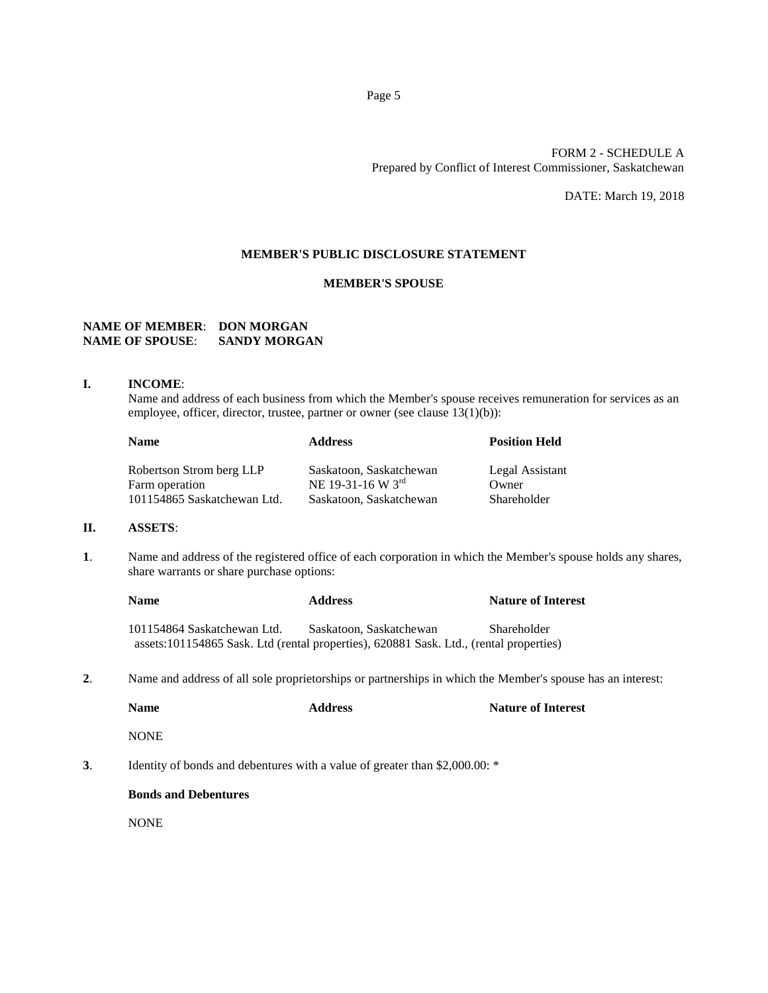# FORM 2 - SCHEDULE A Prepared by Conflict of Interest Commissioner, Saskatchewan

DATE: March 19, 2018

## **MEMBER'S PUBLIC DISCLOSURE STATEMENT**

# **MEMBER'S SPOUSE**

# **NAME OF MEMBER**: **DON MORGAN NAME OF SPOUSE**: **SANDY MORGAN**

#### **I. INCOME**:

Name and address of each business from which the Member's spouse receives remuneration for services as an employee, officer, director, trustee, partner or owner (see clause 13(1)(b)):

| <b>Name</b>                                | <b>Address</b>                               | <b>Position Held</b>     |
|--------------------------------------------|----------------------------------------------|--------------------------|
| Robertson Strom berg LLP<br>Farm operation | Saskatoon, Saskatchewan<br>NE 19-31-16 W 3rd | Legal Assistant<br>Owner |
| 101154865 Saskatchewan Ltd.                | Saskatoon, Saskatchewan                      | Shareholder              |

# **II. ASSETS**:

**1**. Name and address of the registered office of each corporation in which the Member's spouse holds any shares, share warrants or share purchase options:

| <b>Name</b>                                                                            | <b>Address</b>          | <b>Nature of Interest</b> |
|----------------------------------------------------------------------------------------|-------------------------|---------------------------|
| 101154864 Saskatchewan Ltd.                                                            | Saskatoon, Saskatchewan | <b>Shareholder</b>        |
| assets:101154865 Sask. Ltd (rental properties), 620881 Sask. Ltd., (rental properties) |                         |                           |

**2**. Name and address of all sole proprietorships or partnerships in which the Member's spouse has an interest:

|    | <b>Name</b>                                                                 | <b>Address</b> | <b>Nature of Interest</b> |
|----|-----------------------------------------------------------------------------|----------------|---------------------------|
|    | <b>NONE</b>                                                                 |                |                           |
| 3. | Identity of bonds and debentures with a value of greater than \$2,000.00: * |                |                           |
|    | <b>Bonds and Debentures</b>                                                 |                |                           |
|    | NONE                                                                        |                |                           |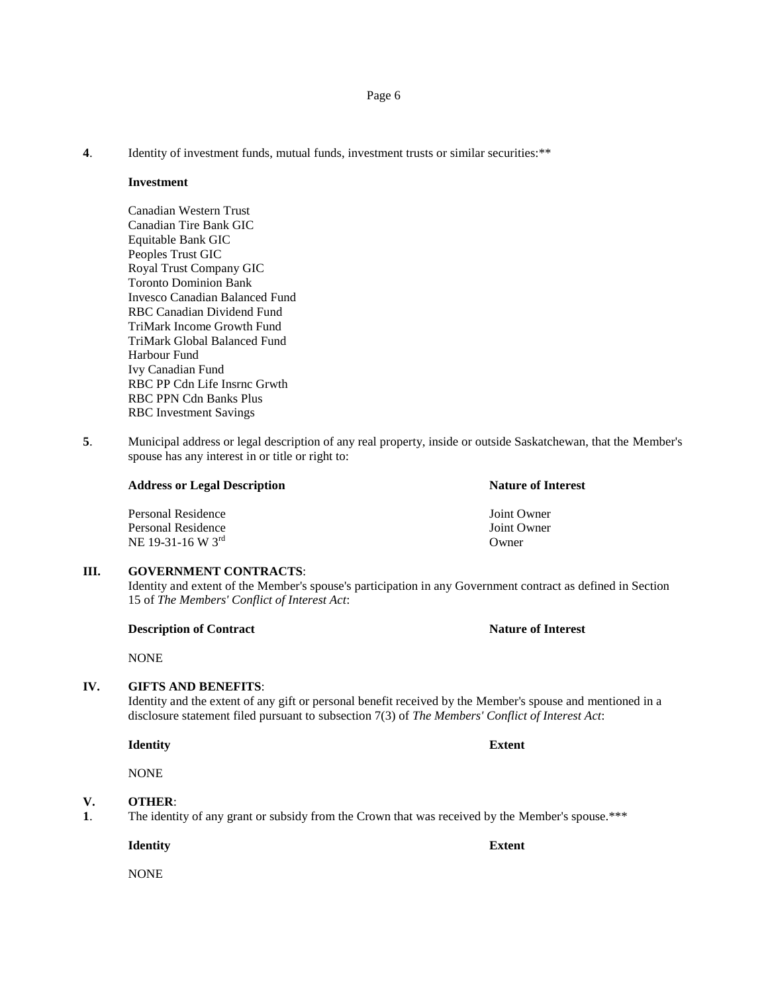**4**. Identity of investment funds, mutual funds, investment trusts or similar securities:\*\*

#### **Investment**

Canadian Western Trust Canadian Tire Bank GIC Equitable Bank GIC Peoples Trust GIC Royal Trust Company GIC Toronto Dominion Bank Invesco Canadian Balanced Fund RBC Canadian Dividend Fund TriMark Income Growth Fund TriMark Global Balanced Fund Harbour Fund Ivy Canadian Fund RBC PP Cdn Life Insrnc Grwth RBC PPN Cdn Banks Plus RBC Investment Savings

**5**. Municipal address or legal description of any real property, inside or outside Saskatchewan, that the Member's spouse has any interest in or title or right to:

### **Address or Legal Description Nature of Interest**

Personal Residence Joint Owner Personal Residence Joint Owner  $NE$  19-31-16 W 3<sup>rd</sup> Owner

#### **III. GOVERNMENT CONTRACTS**:

Identity and extent of the Member's spouse's participation in any Government contract as defined in Section 15 of *The Members' Conflict of Interest Act*:

#### **Description of Contract Nature of Interest**

NONE

# **IV. GIFTS AND BENEFITS**:

Identity and the extent of any gift or personal benefit received by the Member's spouse and mentioned in a disclosure statement filed pursuant to subsection 7(3) of *The Members' Conflict of Interest Act*:

**Identity Extent**

NONE

# **V. OTHER**:

**1**. The identity of any grant or subsidy from the Crown that was received by the Member's spouse.\*\*\*

**Identity Extent**

NONE